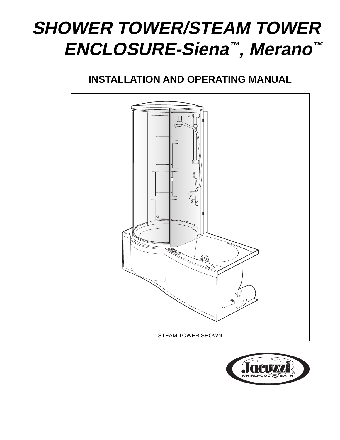# **SHOWER TOWER/STEAM TOWER ENCLOSURE-Siena™, Merano™**

# **INSTALLATION AND OPERATING MANUAL**



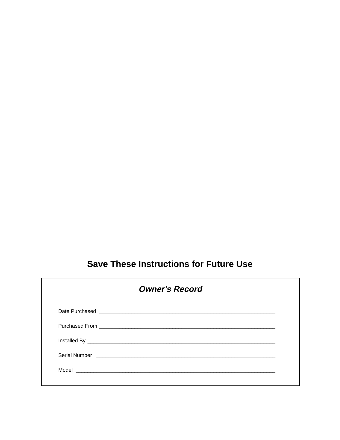# **Save These Instructions for Future Use**

| <b>Owner's Record</b> |  |
|-----------------------|--|
|                       |  |
|                       |  |
|                       |  |
|                       |  |
|                       |  |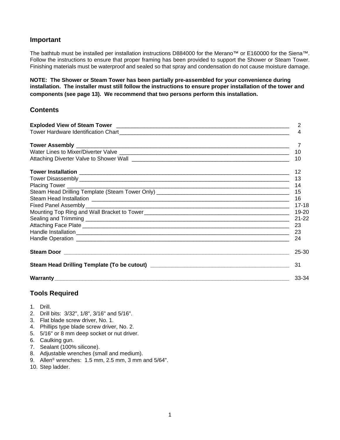#### **Important**

The bathtub must be installed per installation instructions D884000 for the Merano™ or E160000 for the Siena™. Follow the instructions to ensure that proper framing has been provided to support the Shower or Steam Tower. Finishing materials must be waterproof and sealed so that spray and condensation do not cause moisture damage.

**NOTE: The Shower or Steam Tower has been partially pre-assembled for your convenience during installation. The installer must still follow the instructions to ensure proper installation of the tower and components (see page 13). We recommend that two persons perform this installation.**

#### **Contents**

| 10        |
|-----------|
| 10        |
| 12        |
| 13        |
| 14        |
| 15        |
| 16        |
| 17-18     |
| $19 - 20$ |
| $21 - 22$ |
| 23        |
| 23        |
| 24        |
| 25-30     |
| 31        |
| 33-34     |

#### **Tools Required**

- 1. Drill.
- 2. Drill bits: 3/32", 1/8", 3/16" and 5/16".
- 3. Flat blade screw driver, No. 1.
- 4. Phillips type blade screw driver, No. 2.
- 5. 5/16" or 8 mm deep socket or nut driver.
- 6. Caulking gun.
- 7. Sealant (100% silicone).
- 8. Adjustable wrenches (small and medium).
- 9. Allen® wrenches: 1.5 mm, 2.5 mm, 3 mm and 5/64".
- 10. Step ladder.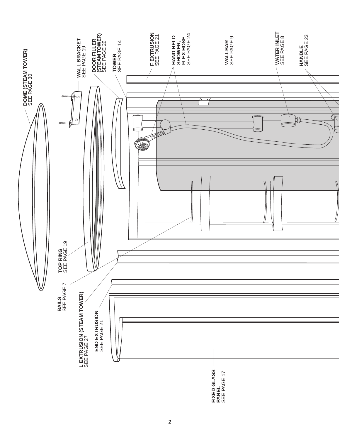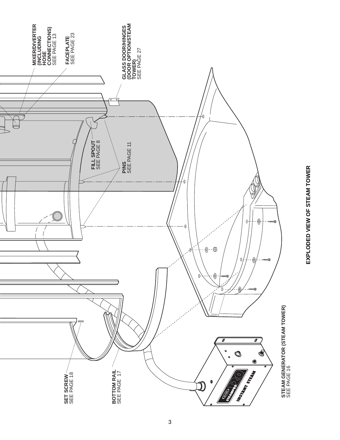

# EXPLODED VIEW OF STEAM TOWER **EXPLODED VIEW OF STEAM TOWER**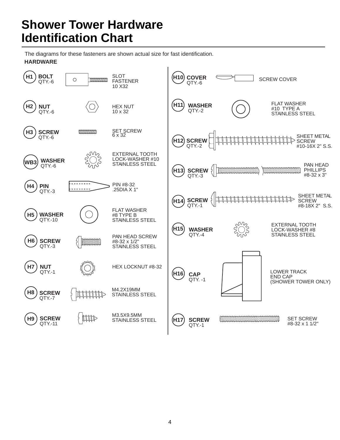# **Shower Tower Hardware Identification Chart**

The diagrams for these fasteners are shown actual size for fast identification. **HARDWARE**

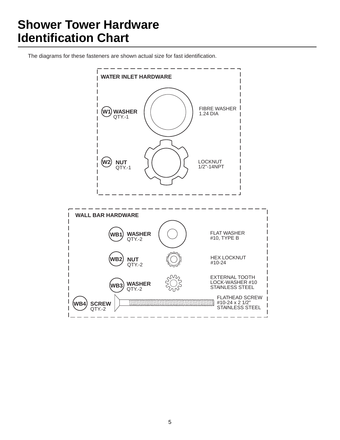# **Shower Tower Hardware Identification Chart**

The diagrams for these fasteners are shown actual size for fast identification.

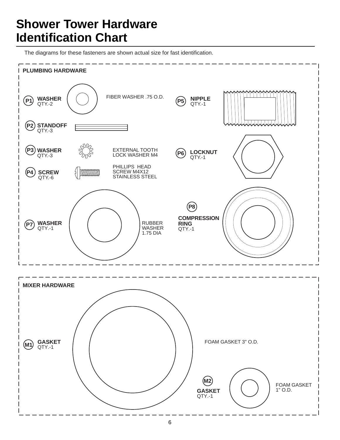# **Shower Tower Hardware Identification Chart**

The diagrams for these fasteners are shown actual size for fast identification.

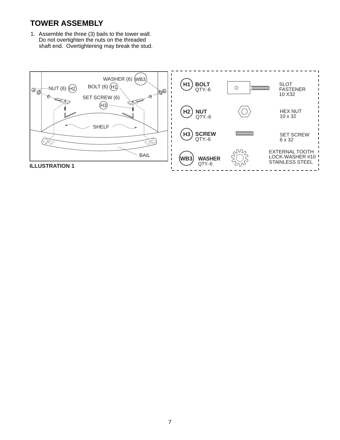## **TOWER ASSEMBLY**

1. Assemble the three (3) bails to the tower wall. Do not overtighten the nuts on the threaded shaft end. Overtightening may break the stud.

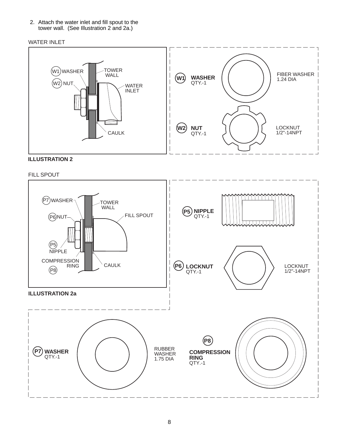2. Attach the water inlet and fill spout to the tower wall. (See Illustration 2 and 2a.)

#### WATER INLET



## **ILLUSTRATION 2**

#### FILL SPOUT

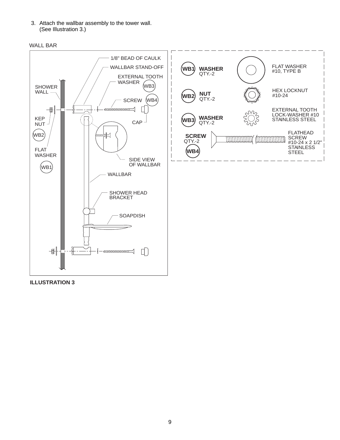3. Attach the wallbar assembly to the tower wall. (See Illustration 3.)





**ILLUSTRATION 3**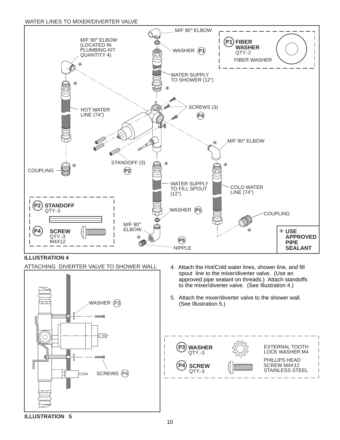#### WATER LINES TO MIXER/DIVERTER VALVE





- 4. Attach the Hot/Cold water lines, shower line, and fill spout line to the mixer/diverter valve. (Use an approved pipe sealant on threads.) Attach standoffs to the mixer/diverter valve. (See Illustration 4.)
- 5. Attach the mixer/diverter valve to the shower wall. (See Illustration 5.)

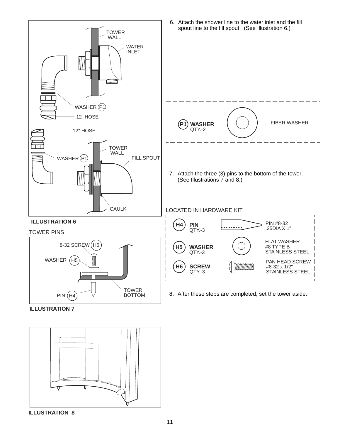

**ILLUSTRATION 7**

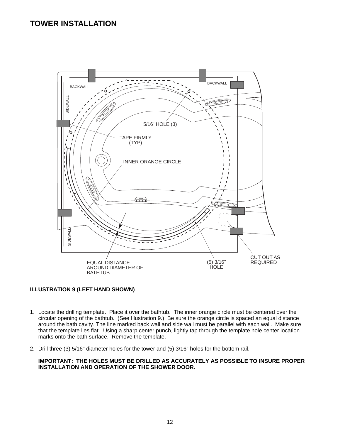## **TOWER INSTALLATION**



#### **ILLUSTRATION 9 (LEFT HAND SHOWN)**

- 1. Locate the drilling template. Place it over the bathtub. The inner orange circle must be centered over the circular opening of the bathtub. (See Illustration 9.) Be sure the orange circle is spaced an equal distance around the bath cavity. The line marked back wall and side wall must be parallel with each wall. Make sure that the template lies flat. Using a sharp center punch, lightly tap through the template hole center location marks onto the bath surface. Remove the template.
- 2. Drill three (3) 5/16" diameter holes for the tower and (5) 3/16" holes for the bottom rail.

**IMPORTANT: THE HOLES MUST BE DRILLED AS ACCURATELY AS POSSIBLE TO INSURE PROPER INSTALLATION AND OPERATION OF THE SHOWER DOOR.**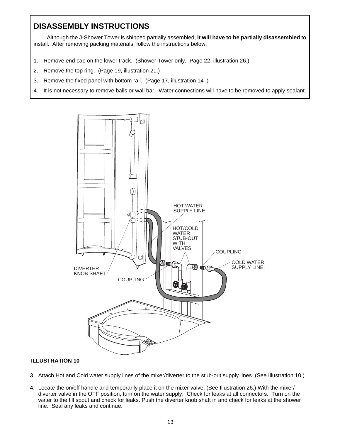## **DISASSEMBLY INSTRUCTIONS**

Although the J-Shower Tower is shipped partially assembled, **it will have to be partially disassembled** to install. After removing packing materials, follow the instructions below.

- 1. Remove end cap on the lower track. (Shower Tower only. Page 22, illustration 26.)
- 2. Remove the top ring. (Page 19, illustration 21.)
- 3. Remove the fixed panel with bottom rail. (Page 17, illustration 14 .)
- 4. It is not necessary to remove bails or wall bar. Water connections will have to be removed to apply sealant.



- 3. Attach Hot and Cold water supply lines of the mixer/diverter to the stub-out supply lines. (See Illustration 10.)
- 4. Locate the on/off handle and temporarily place it on the mixer valve. (See Illustration 26.) With the mixer/ diverter valve in the OFF position, turn on the water supply. Check for leaks at all connectors. Turn on the water to the fill spout and check for leaks. Push the diverter knob shaft in and check for leaks at the shower line. Seal any leaks and continue.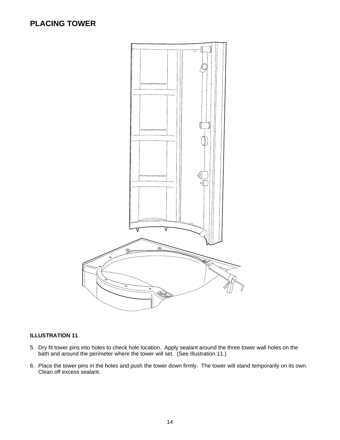## **PLACING TOWER**



- 5. Dry fit tower pins into holes to check hole location. Apply sealant around the three tower wall holes on the bath and around the perimeter where the tower will set. (See Illustration 11.)
- 6. Place the tower pins in the holes and push the tower down firmly. The tower will stand temporarily on its own. Clean off excess sealant.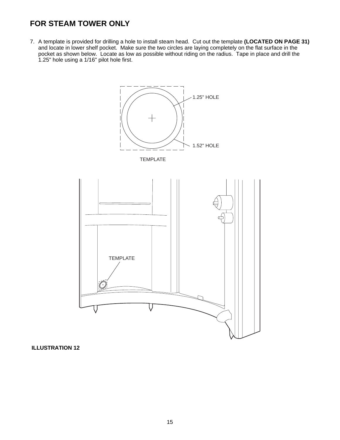## **FOR STEAM TOWER ONLY**

7. A template is provided for drilling a hole to install steam head. Cut out the template **(LOCATED ON PAGE 31)** and locate in lower shelf pocket. Make sure the two circles are laying completely on the flat surface in the pocket as shown below. Locate as low as possible without riding on the radius. Tape in place and drill the 1.25" hole using a 1/16" pilot hole first.

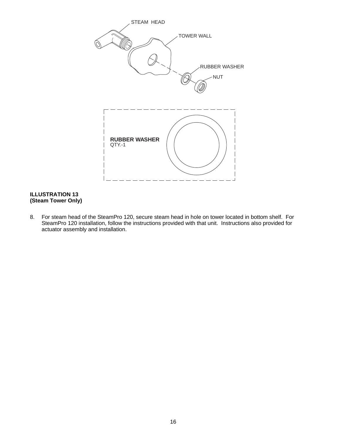

#### **ILLUSTRATION 13 (Steam Tower Only)**

8. For steam head of the SteamPro 120, secure steam head in hole on tower located in bottom shelf. For SteamPro 120 installation, follow the instructions provided with that unit. Instructions also provided for actuator assembly and installation.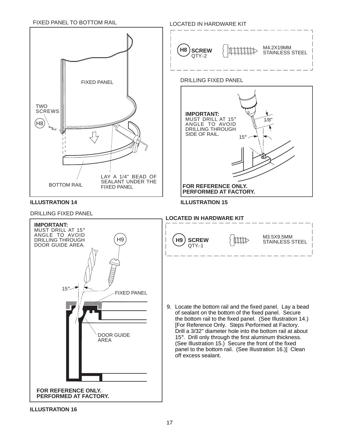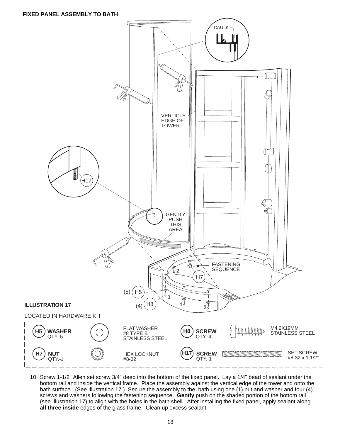

10. Screw 1-1/2" Allen set screw 3/4" deep into the bottom of the fixed panel. Lay a 1/4" bead of sealant under the bottom rail and inside the vertical frame. Place the assembly against the vertical edge of the tower and onto the bath surface. (See Illustration 17.) Secure the assembly to the bath using one (1) nut and washer and four (4) screws and washers following the fastening sequence. **Gently** push on the shaded portion of the bottom rail (see Illustration 17) to align with the holes in the bath shell. After installing the fixed panel, apply sealant along **all three inside** edges of the glass frame. Clean up excess sealant.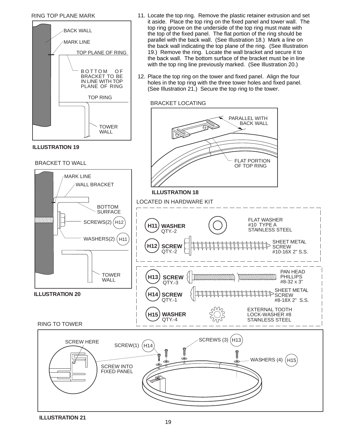#### RING TOP PLANE MARK



11. Locate the top ring. Remove the plastic retainer extrusion and set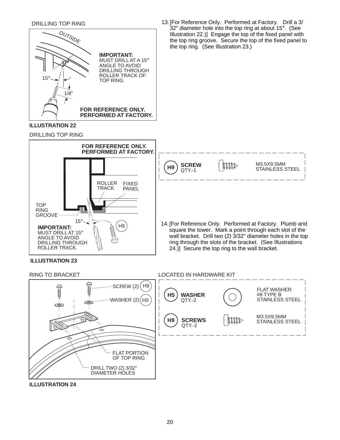

**ILLUSTRATION 24**

DRILL TWO (2) 3/32" DIAMETER HOLES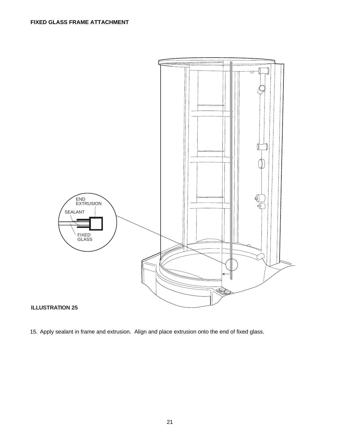

15. Apply sealant in frame and extrusion. Align and place extrusion onto the end of fixed glass.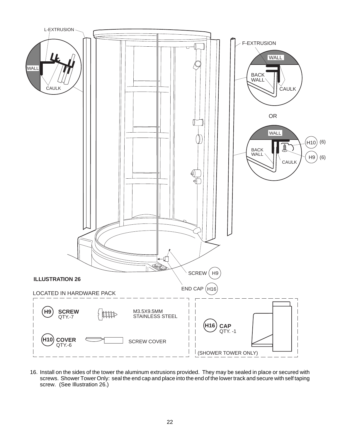

16. Install on the sides of the tower the aluminum extrusions provided. They may be sealed in place or secured with screws. Shower Tower Only: seal the end cap and place into the end of the lower track and secure with self taping screw. (See Illustration 26.)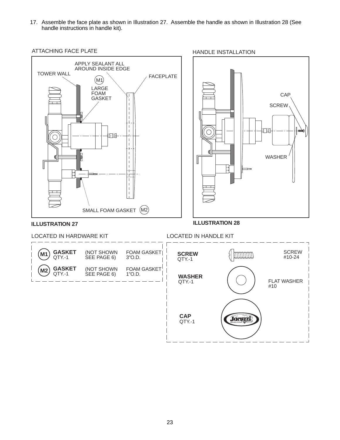17. Assemble the face plate as shown in Illustration 27. Assemble the handle as shown in Illustration 28 (See handle instructions in handle kit).

ATTACHING FACE PLATE **HANDLE INSTALLATION** 



CAP **SCREW** 扣 ◯ ₫ WASHER  $\overline{\phantom{a}}$ 日

**ILLUSTRATION 27**

LOCATED IN HARDWARE KIT LOCATED IN HANDLE KIT



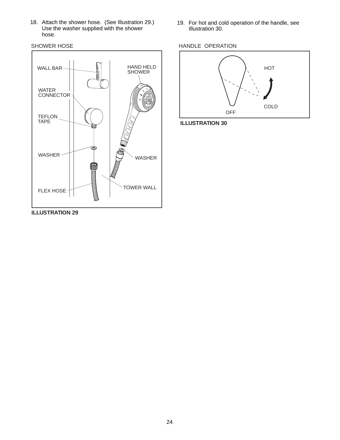18. Attach the shower hose. (See Illustration 29.) Use the washer supplied with the shower hose.

SHOWER HOSE



19. For hot and cold operation of the handle, see Illustration 30.





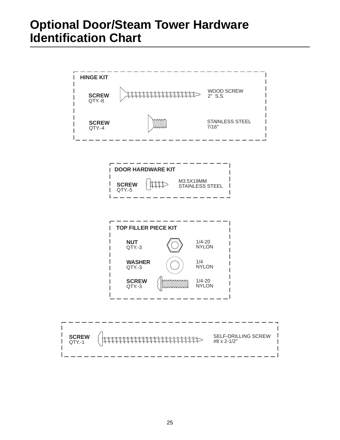# **Optional Door/Steam Tower Hardware Identification Chart**

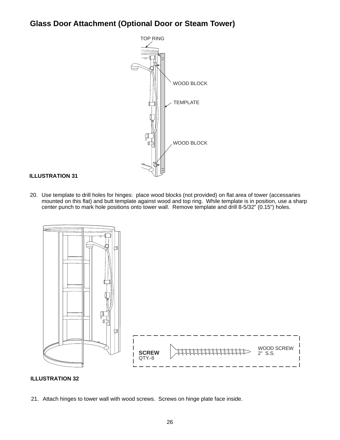# **Glass Door Attachment (Optional Door or Steam Tower)**



#### **ILLUSTRATION 31**

20. Use template to drill holes for hinges: place wood blocks (not provided) on flat area of tower (accessaries mounted on this flat) and butt template against wood and top ring. While template is in position, use a sharp center punch to mark hole positions onto tower wall. Remove template and drill 8-5/32" (0.15") holes.



#### **ILLUSTRATION 32**

21. Attach hinges to tower wall with wood screws. Screws on hinge plate face inside.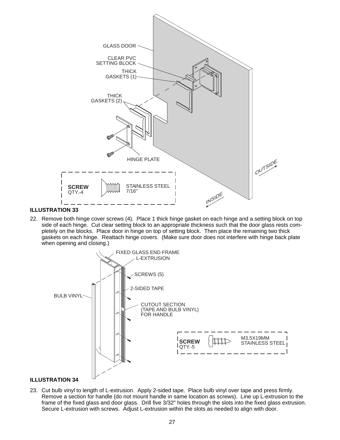

#### **ILLUSTRATION 33**

22. Remove both hinge cover screws (4). Place 1 thick hinge gasket on each hinge and a setting block on top side of each hinge. Cut clear setting block to an appropriate thickness such that the door glass rests completely on the blocks. Place door in hinge on top of setting block. Then place the remaining two thick gaskets on each hinge. Reattach hinge covers. (Make sure door does not interfere with hinge back plate when opening and closing.)



23. Cut bulb vinyl to length of L-extrusion. Apply 2-sided tape. Place bulb vinyl over tape and press firmly. Remove a section for handle (do not mount handle in same location as screws). Line up L-extrusion to the frame of the fixed glass and door glass. Drill five 3/32" holes through the slots into the fixed glass extrusion. Secure L-extrusion with screws. Adjust L-extrusion within the slots as needed to align with door.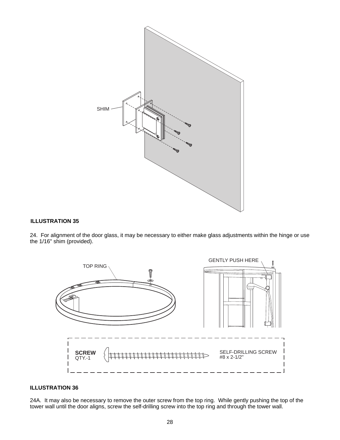

#### **ILLUSTRATION 35**

24. For alignment of the door glass, it may be necessary to either make glass adjustments within the hinge or use the 1/16" shim (provided).



#### **ILLUSTRATION 36**

24A. It may also be necessary to remove the outer screw from the top ring. While gently pushing the top of the tower wall until the door aligns, screw the self-drilling screw into the top ring and through the tower wall.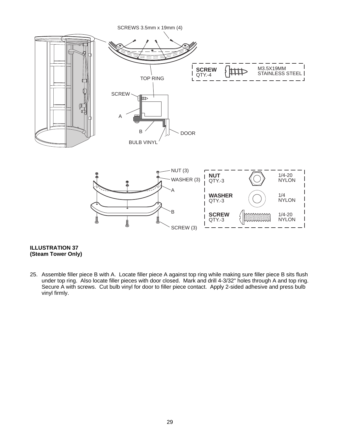

#### **ILLUSTRATION 37 (Steam Tower Only)**

25. Assemble filler piece B with A. Locate filler piece A against top ring while making sure filler piece B sits flush under top ring. Also locate filler pieces with door closed. Mark and drill 4-3/32" holes through A and top ring. Secure A with screws. Cut bulb vinyl for door to filler piece contact. Apply 2-sided adhesive and press bulb vinyl firmly.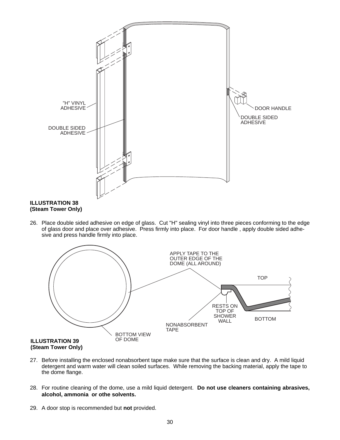

## **(Steam Tower Only)**

26. Place double sided adhesive on edge of glass. Cut "H" sealing vinyl into three pieces conforming to the edge of glass door and place over adhesive. Press firmly into place. For door handle , apply double sided adhesive and press handle firmly into place.



- 27. Before installing the enclosed nonabsorbent tape make sure that the surface is clean and dry. A mild liquid detergent and warm water will clean soiled surfaces. While removing the backing material, apply the tape to the dome flange.
- 28. For routine cleaning of the dome, use a mild liquid detergent. **Do not use cleaners containing abrasives, alcohol, ammonia or othe solvents.**
- 29. A door stop is recommended but **not** provided.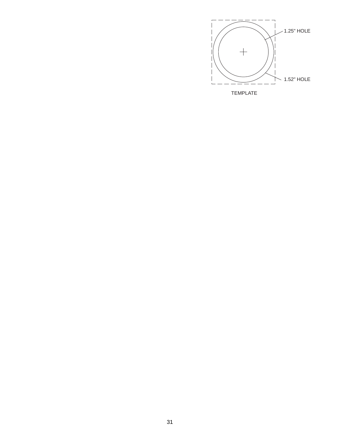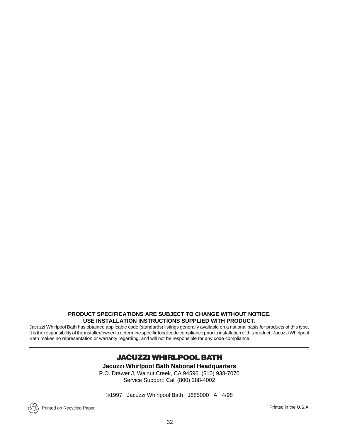#### **PRODUCT SPECIFICATIONS ARE SUBJECT TO CHANGE WITHOUT NOTICE. USE INSTALLATION INSTRUCTIONS SUPPLIED WITH PRODUCT.**

Jacuzzi Whirlpool Bath has obtained applicable code (standards) listings generally available on a national basis for products of this type. It is the responsibility of the installer/owner to determine specific local code compliance prior to installation of this product. Jacuzzi Whirlpool Bath makes no representation or warranty regarding, and will not be responsible for any code compliance.

### **JACUZZI WHIRLPOOL BATH**

**Jacuzzi Whirlpool Bath National Headquarters**

P.O. Drawer J, Walnut Creek, CA 94596 (510) 938-7070 Service Support: Call (800) 288-4002

©1997 Jacuzzi Whirlpool Bath J685000 A 4/98

Printed on Recycled Paper

Printed in the U.S.A.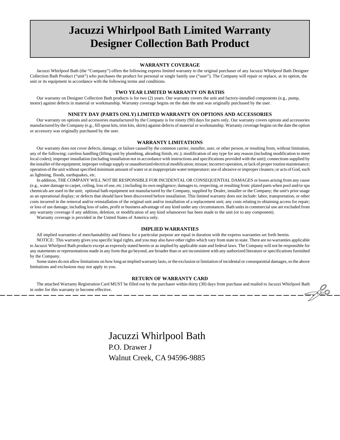# **Jacuzzi Whirlpool Bath Limited Warranty Designer Collection Bath Product**

#### **WARRANTY COVERAGE**

Jacuzzi Whirlpool Bath (the "Company") offers the following express limited warranty to the original purchaser of any Jacuzzi Whirlpool Bath Designer Collection Bath Product ("unit") who purchases the product for personal or single family use ("user"). The Company will repair or replace, at its option, the unit or its equipment in accordance with the following terms and conditions.

#### **TWO YEAR LIMITED WARRANTY ON BATHS**

Our warranty on Designer Collection Bath products is for two (2) years. Our warranty covers the unit and factory-installed components (e.g., pump, motor) against defects in material or workmanship. Warranty coverage begins on the date the unit was originally purchased by the user.

#### **NINETY DAY (PARTS ONLY) LIMITED WARRANTY ON OPTIONS AND ACCESSORIES**

Our warranty on options and accessories manufactured by the Company is for ninety (90) days for parts only. Our warranty covers options and accessories manufactured by the Company (e.g., fill spout kits, trim kits, skirts) against defects of material or workmanship. Warranty coverage begins on the date the option or accessory was originally purchased by the user.

#### **WARRANTY LIMITATIONS**

Our warranty does not cover defects, damage, or failure caused by the common carrier, installer, user, or other person, or resulting from, without limitation, any of the following: careless handling (lifting unit by plumbing, abrading finish, etc.); modification of any type for any reason (including modification to meet local codes); improper installation (including installation not in accordance with instructions and specifications provided with the unit); connections supplied by the installer of the equipment; improper voltage supply or unauthorized electrical modification; misuse; incorrect operation, or lack of proper routine maintenance; operation of the unit without specified minimum amount of water or at inappropriate water temperature; use of abrasive or improper cleaners; or acts of God, such as lightning, floods, earthquakes, etc.

In addition, THE COMPANY WILL NOT BE RESPONSIBLE FOR INCIDENTAL OR CONSEQUENTIAL DAMAGES or losses arising from any cause (e.g., water damage to carpet, ceiling, loss of use, etc.) including its own negligence; damages to, respecting, or resulting from: plated parts when pool and/or spa chemicals are used in the unit; optional bath equipment not manufactured by the Company, supplied by Dealer, installer or the Company; the unit's prior usage as an operational display; or defects that should have been discovered before installation. This limited warranty does not include: labor, transportation, or other costs incurred in the removal and/or reinstallation of the original unit and/or installation of a replacement unit; any costs relating to obtaining access for repair; or loss of use damage, including loss of sales, profit or business advantage of any kind under any circumstances. Bath units in commercial use are excluded from any warranty coverage if any addition, deletion, or modification of any kind whatsoever has been made to the unit (or to any component).

Warranty coverage is provided in the United States of America only.

#### **IMPLIED WARRANTIES**

All implied warranties of merchantability and fitness for a particular purpose are equal in duration with the express warranties set forth herein.

NOTICE: This warranty gives you specific legal rights, and you may also have other rights which vary from state to state. There are no warranties applicable to Jacuzzi Whirlpool Bath products except as expressly stated herein or as implied by applicable state and federal laws. The Company will not be responsible for any statements or representations made in any form that go beyond, are broader than or are inconsistent with any authorized literature or specifications furnished by the Company.

Some states do not allow limitations on how long an implied warranty lasts, or the exclusion or limitation of incidental or consequential damages, so the above limitations and exclusions may not apply to you.

#### **RETURN OF WARRANTY CARD**

The attached Warranty Registration Card MUST be filled out by the purchaser within thirty (30) days from purchase and mailed to Jacuzzi Whirlpool Bath order for this warranty to become effective.<br>— — — — — — — — — — — — in order for this warranty to become effective.

> Jacuzzi Whirlpool Bath P.O. Drawer J Walnut Creek, CA 94596-9885